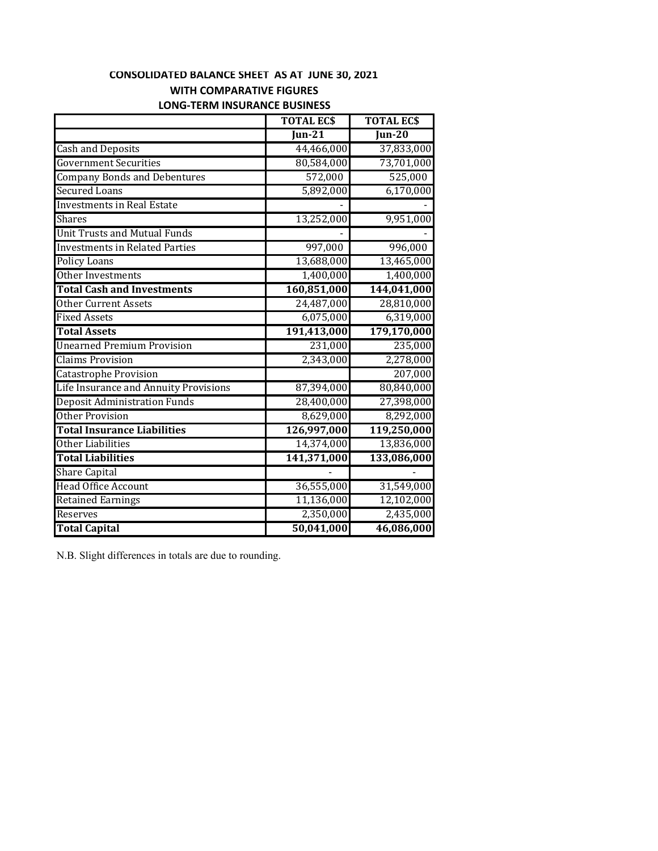## **CONSOLIDATED BALANCE SHEET AS AT JUNE 30, 2021 WITH COMPARATIVE FIGURES**

|                                       | <b>TOTAL ECS</b>           | <b>TOTAL ECS</b>           |
|---------------------------------------|----------------------------|----------------------------|
|                                       | $\overline{\text{Iun-}21}$ | $\overline{\text{Iun-20}}$ |
| <b>Cash and Deposits</b>              | 44,466,000                 | 37,833,000                 |
| <b>Government Securities</b>          | 80,584,000                 | 73,701,000                 |
| <b>Company Bonds and Debentures</b>   | 572,000                    | 525,000                    |
| <b>Secured Loans</b>                  | 5,892,000                  | 6,170,000                  |
| <b>Investments in Real Estate</b>     |                            |                            |
| <b>Shares</b>                         | 13,252,000                 | 9,951,000                  |
| <b>Unit Trusts and Mutual Funds</b>   |                            |                            |
| <b>Investments in Related Parties</b> | 997,000                    | 996,000                    |
| <b>Policy Loans</b>                   | 13,688,000                 | 13,465,000                 |
| Other Investments                     | 1,400,000                  | 1,400,000                  |
| <b>Total Cash and Investments</b>     | 160,851,000                | 144,041,000                |
| <b>Other Current Assets</b>           | 24,487,000                 | 28,810,000                 |
| <b>Fixed Assets</b>                   | 6,075,000                  | 6,319,000                  |
| <b>Total Assets</b>                   | 191,413,000                | 179,170,000                |
| <b>Unearned Premium Provision</b>     | 231,000                    | 235,000                    |
| <b>Claims Provision</b>               | 2,343,000                  | 2,278,000                  |
| Catastrophe Provision                 |                            | 207,000                    |
| Life Insurance and Annuity Provisions | 87,394,000                 | 80,840,000                 |
| <b>Deposit Administration Funds</b>   | 28,400,000                 | 27,398,000                 |
| <b>Other Provision</b>                | 8,629,000                  | 8,292,000                  |
| <b>Total Insurance Liabilities</b>    | 126,997,000                | 119,250,000                |
| Other Liabilities                     | 14,374,000                 | 13,836,000                 |
| <b>Total Liabilities</b>              | 141,371,000                | 133,086,000                |
| <b>Share Capital</b>                  |                            |                            |
| <b>Head Office Account</b>            | 36,555,000                 | 31,549,000                 |
| <b>Retained Earnings</b>              | 11,136,000                 | 12,102,000                 |
| <b>Reserves</b>                       | 2,350,000                  | 2,435,000                  |
| <b>Total Capital</b>                  | 50,041,000                 | 46,086,000                 |

#### **LONG‐TERM INSURANCE BUSINESS**

N.B. Slight differences in totals are due to rounding.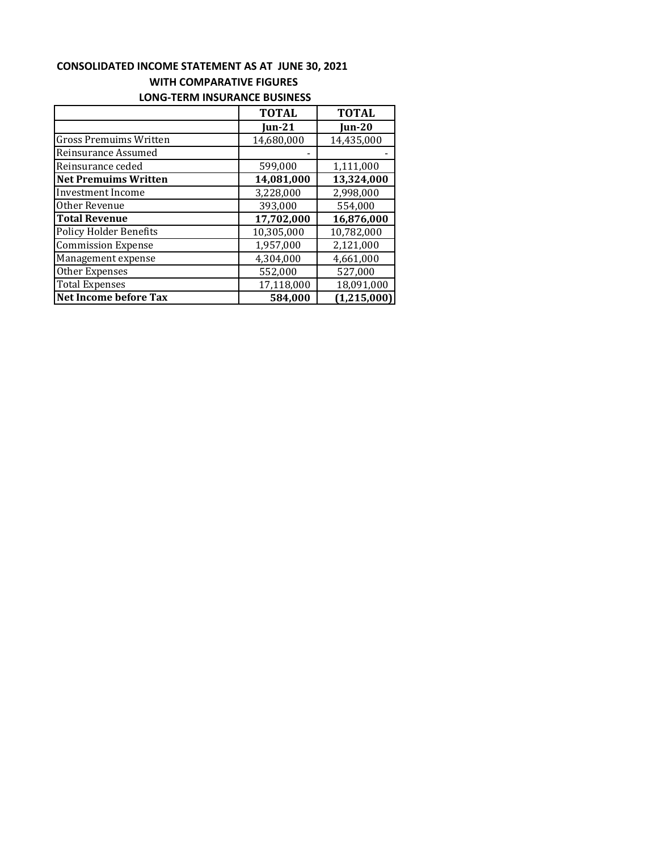#### **CONSOLIDATED INCOME STATEMENT AS AT JUNE 30, 2021 WITH COMPARATIVE FIGURES LONG‐TERM INSURANCE BUSINESS**

|                               | <b>TOTAL</b> | <b>TOTAL</b>  |  |
|-------------------------------|--------------|---------------|--|
|                               | $Jun-21$     | <b>Jun-20</b> |  |
| <b>Gross Premuims Written</b> | 14,680,000   | 14,435,000    |  |
| Reinsurance Assumed           |              |               |  |
| Reinsurance ceded             | 599,000      | 1,111,000     |  |
| <b>Net Premuims Written</b>   | 14,081,000   | 13,324,000    |  |
| <b>Investment Income</b>      | 3,228,000    | 2,998,000     |  |
| Other Revenue                 | 393,000      | 554,000       |  |
| <b>Total Revenue</b>          | 17,702,000   | 16,876,000    |  |
| <b>Policy Holder Benefits</b> | 10,305,000   | 10,782,000    |  |
| <b>Commission Expense</b>     | 1,957,000    | 2,121,000     |  |
| Management expense            | 4,304,000    | 4,661,000     |  |
| Other Expenses                | 552,000      | 527,000       |  |
| <b>Total Expenses</b>         | 17,118,000   | 18,091,000    |  |
| Net Income before Tax         | 584,000      | (1,215,000)   |  |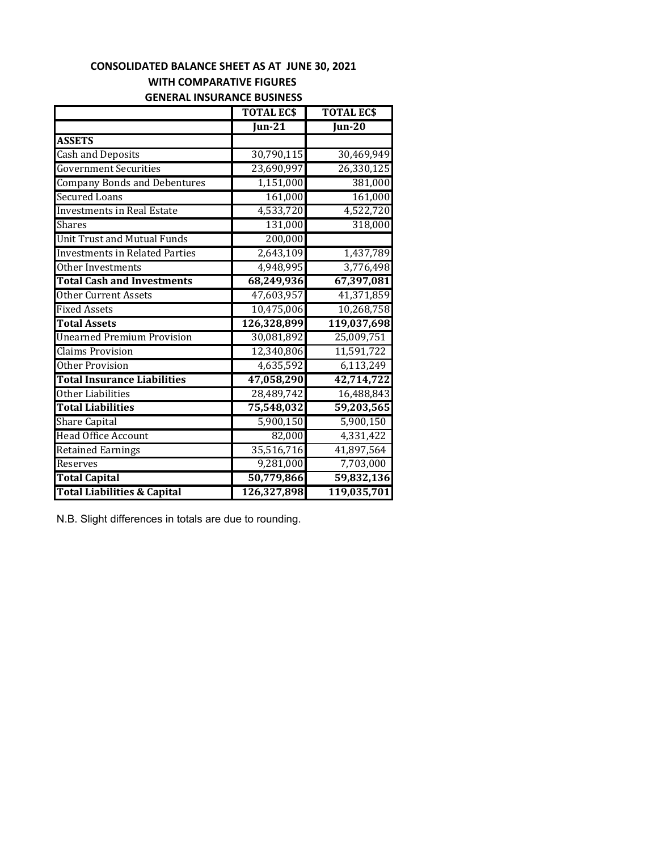#### **WITH COMPARATIVE FIGURES CONSOLIDATED BALANCE SHEET AS AT JUNE 30, 2021**

# **GENERAL INSURANCE BUSINESS**

|                                        | <b>TOTAL ECS</b>           | <b>TOTAL ECS</b> |
|----------------------------------------|----------------------------|------------------|
|                                        | $\overline{\text{Jun-21}}$ | <b>Jun-20</b>    |
| <b>ASSETS</b>                          |                            |                  |
| <b>Cash and Deposits</b>               | 30,790,115                 | 30,469,949       |
| <b>Government Securities</b>           | 23,690,997                 | 26,330,125       |
| <b>Company Bonds and Debentures</b>    | 1,151,000                  | 381,000          |
| <b>Secured Loans</b>                   | 161,000                    | 161,000          |
| <b>Investments in Real Estate</b>      | 4,533,720                  | 4,522,720        |
| <b>Shares</b>                          | 131,000                    | 318,000          |
| <b>Unit Trust and Mutual Funds</b>     | 200,000                    |                  |
| <b>Investments in Related Parties</b>  | 2,643,109                  | 1,437,789        |
| Other Investments                      | 4,948,995                  | 3,776,498        |
| <b>Total Cash and Investments</b>      | 68,249,936                 | 67,397,081       |
| <b>Other Current Assets</b>            | 47,603,957                 | 41,371,859       |
| <b>Fixed Assets</b>                    | 10,475,006                 | 10,268,758       |
| <b>Total Assets</b>                    | 126,328,899                | 119,037,698      |
| <b>Unearned Premium Provision</b>      | 30,081,892                 | 25,009,751       |
| <b>Claims Provision</b>                | 12,340,806                 | 11,591,722       |
| <b>Other Provision</b>                 | 4,635,592                  | 6,113,249        |
| <b>Total Insurance Liabilities</b>     | 47,058,290                 | 42,714,722       |
| Other Liabilities                      | 28,489,742                 | 16,488,843       |
| <b>Total Liabilities</b>               | 75,548,032                 | 59,203,565       |
| <b>Share Capital</b>                   | 5,900,150                  | 5,900,150        |
| <b>Head Office Account</b>             | 82,000                     | 4,331,422        |
| <b>Retained Earnings</b>               | 35,516,716                 | 41,897,564       |
| Reserves                               | 9,281,000                  | 7,703,000        |
| <b>Total Capital</b>                   | 50,779,866                 | 59,832,136       |
| <b>Total Liabilities &amp; Capital</b> | 126,327,898                | 119,035,701      |

N.B. Slight differences in totals are due to rounding.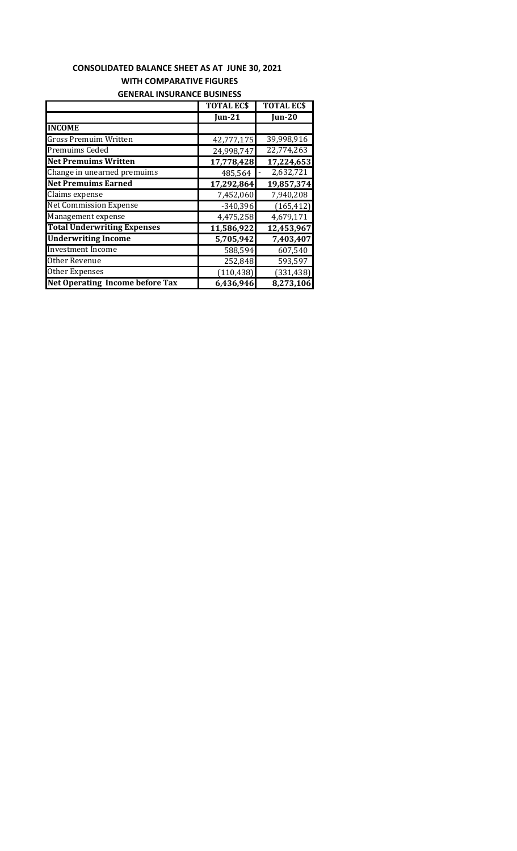### **CONSOLIDATED BALANCE SHEET AS AT JUNE 30, 2021 WITH COMPARATIVE FIGURES GENERAL INSURANCE BUSINESS**

|                                        | <b>TOTAL ECS</b>   | <b>TOTAL ECS</b>        |
|----------------------------------------|--------------------|-------------------------|
|                                        | $\mathbf{I}$ un-21 | <b>Jun-20</b>           |
| <b>INCOME</b>                          |                    |                         |
| <b>Gross Premuim Written</b>           | 42,777,175         | 39,998,916              |
| <b>Premuims Ceded</b>                  | 24,998,747         | $\overline{22,774,263}$ |
| <b>Net Premuims Written</b>            | 17,778,428         | 17,224,653              |
| Change in unearned premuims            | 485,564            | 2,632,721               |
| <b>Net Premuims Earned</b>             | 17,292,864         | 19,857,374              |
| Claims expense                         | 7,452,060          | 7,940,208               |
| <b>Net Commission Expense</b>          | $-340,396$         | (165, 412)              |
| Management expense                     | 4,475,258          | 4,679,171               |
| <b>Total Underwriting Expenses</b>     | 11,586,922         | 12,453,967              |
| <b>Underwriting Income</b>             | 5,705,942          | 7,403,407               |
| <b>Investment Income</b>               | 588,594            | 607,540                 |
| Other Revenue                          | 252,848            | 593,597                 |
| Other Expenses                         | (110, 438)         | (331, 438)              |
| <b>Net Operating Income before Tax</b> | 6,436,946          | 8,273,106               |